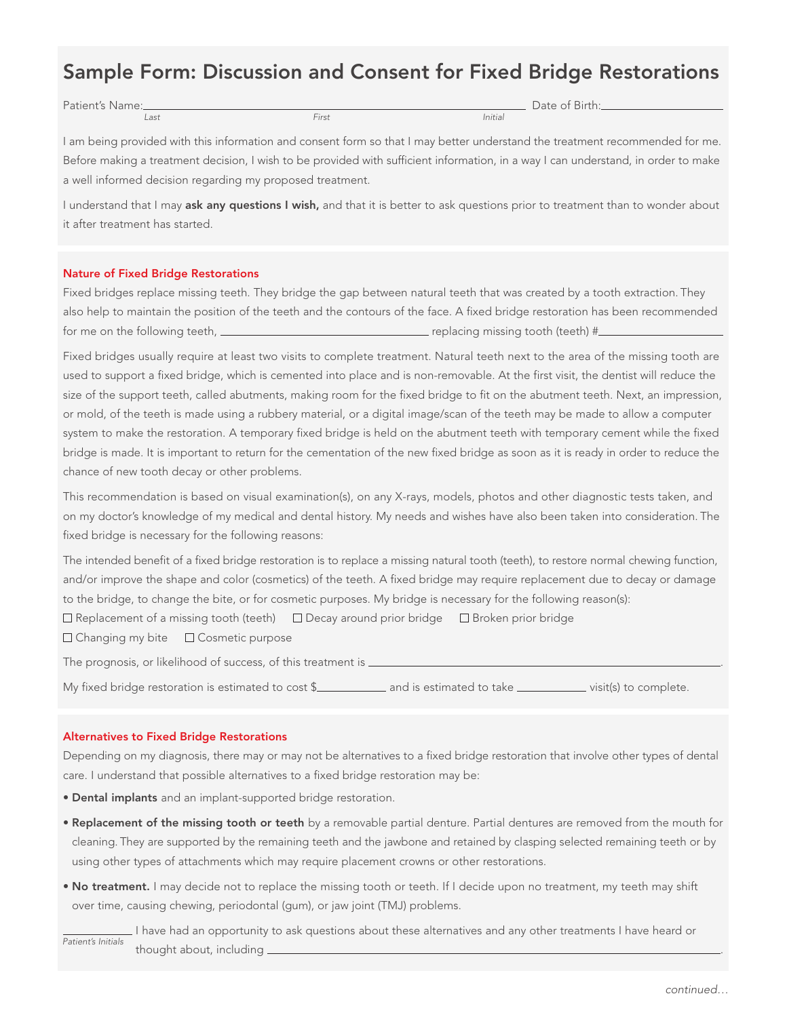# Sample Form: Discussion and Consent for Fixed Bridge Restorations

Patient's Name: and the set of Birth: First Exercise of Birth: Date of Birth:

Last First Initial

I am being provided with this information and consent form so that I may better understand the treatment recommended for me. Before making a treatment decision, I wish to be provided with sufficient information, in a way I can understand, in order to make a well informed decision regarding my proposed treatment.

I understand that I may ask any questions I wish, and that it is better to ask questions prior to treatment than to wonder about it after treatment has started.

## Nature of Fixed Bridge Restorations

Fixed bridges replace missing teeth. They bridge the gap between natural teeth that was created by a tooth extraction. They also help to maintain the position of the teeth and the contours of the face. A fixed bridge restoration has been recommended for me on the following teeth,  $r = 1$  replacing missing tooth (teeth)  $\#r$ 

Fixed bridges usually require at least two visits to complete treatment. Natural teeth next to the area of the missing tooth are used to support a fixed bridge, which is cemented into place and is non-removable. At the first visit, the dentist will reduce the size of the support teeth, called abutments, making room for the fixed bridge to fit on the abutment teeth. Next, an impression, or mold, of the teeth is made using a rubbery material, or a digital image/scan of the teeth may be made to allow a computer system to make the restoration. A temporary fixed bridge is held on the abutment teeth with temporary cement while the fixed bridge is made. It is important to return for the cementation of the new fixed bridge as soon as it is ready in order to reduce the chance of new tooth decay or other problems.

This recommendation is based on visual examination(s), on any X-rays, models, photos and other diagnostic tests taken, and on my doctor's knowledge of my medical and dental history. My needs and wishes have also been taken into consideration. The fixed bridge is necessary for the following reasons:

The intended benefit of a fixed bridge restoration is to replace a missing natural tooth (teeth), to restore normal chewing function, and/or improve the shape and color (cosmetics) of the teeth. A fixed bridge may require replacement due to decay or damage to the bridge, to change the bite, or for cosmetic purposes. My bridge is necessary for the following reason(s):

 $\Box$  Replacement of a missing tooth (teeth)  $\Box$  Decay around prior bridge  $\Box$  Broken prior bridge

□ Changing my bite □ Cosmetic purpose

The prognosis, or likelihood of success, of this treatment is  $\equiv$ 

My fixed bridge restoration is estimated to cost \$\_\_\_\_\_\_\_\_\_\_\_\_\_\_ and is estimated to take \_\_\_\_\_\_\_\_\_\_\_\_\_\_ visit(s) to complete.

#### Alternatives to Fixed Bridge Restorations

Depending on my diagnosis, there may or may not be alternatives to a fixed bridge restoration that involve other types of dental care. I understand that possible alternatives to a fixed bridge restoration may be:

- Dental implants and an implant-supported bridge restoration.
- Replacement of the missing tooth or teeth by a removable partial denture. Partial dentures are removed from the mouth for cleaning. They are supported by the remaining teeth and the jawbone and retained by clasping selected remaining teeth or by using other types of attachments which may require placement crowns or other restorations.
- No treatment. I may decide not to replace the missing tooth or teeth. If I decide upon no treatment, my teeth may shift over time, causing chewing, periodontal (gum), or jaw joint (TMJ) problems.

 I have had an opportunity to ask questions about these alternatives and any other treatments I have heard or thought about, including . Patient's Initials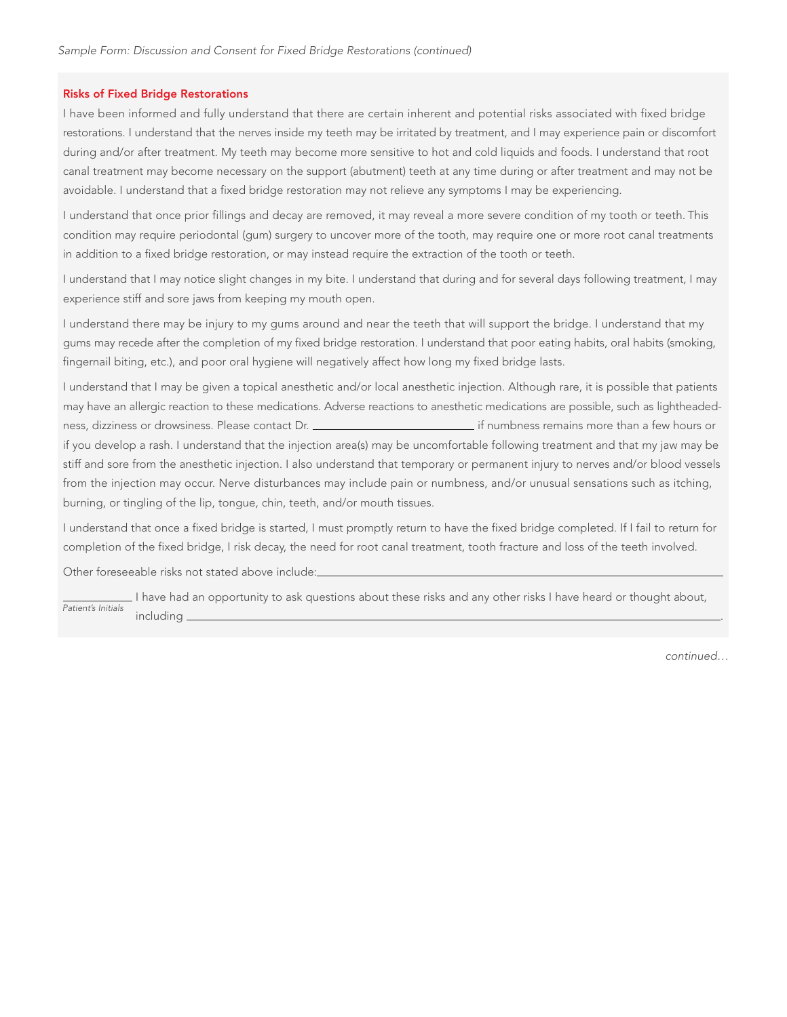### Risks of Fixed Bridge Restorations

I have been informed and fully understand that there are certain inherent and potential risks associated with fixed bridge restorations. I understand that the nerves inside my teeth may be irritated by treatment, and I may experience pain or discomfort during and/or after treatment. My teeth may become more sensitive to hot and cold liquids and foods. I understand that root canal treatment may become necessary on the support (abutment) teeth at any time during or after treatment and may not be avoidable. I understand that a fixed bridge restoration may not relieve any symptoms I may be experiencing.

I understand that once prior fillings and decay are removed, it may reveal a more severe condition of my tooth or teeth. This condition may require periodontal (gum) surgery to uncover more of the tooth, may require one or more root canal treatments in addition to a fixed bridge restoration, or may instead require the extraction of the tooth or teeth.

I understand that I may notice slight changes in my bite. I understand that during and for several days following treatment, I may experience stiff and sore jaws from keeping my mouth open.

I understand there may be injury to my gums around and near the teeth that will support the bridge. I understand that my gums may recede after the completion of my fixed bridge restoration. I understand that poor eating habits, oral habits (smoking, fingernail biting, etc.), and poor oral hygiene will negatively affect how long my fixed bridge lasts.

I understand that I may be given a topical anesthetic and/or local anesthetic injection. Although rare, it is possible that patients may have an allergic reaction to these medications. Adverse reactions to anesthetic medications are possible, such as lightheadedness, dizziness or drowsiness. Please contact Dr. **inter all and the mateur of the mateur of the set of the set o**<br>if numbness remains more than a few hours or if you develop a rash. I understand that the injection area(s) may be uncomfortable following treatment and that my jaw may be stiff and sore from the anesthetic injection. I also understand that temporary or permanent injury to nerves and/or blood vessels from the injection may occur. Nerve disturbances may include pain or numbness, and/or unusual sensations such as itching, burning, or tingling of the lip, tongue, chin, teeth, and/or mouth tissues.

I understand that once a fixed bridge is started, I must promptly return to have the fixed bridge completed. If I fail to return for completion of the fixed bridge, I risk decay, the need for root canal treatment, tooth fracture and loss of the teeth involved.

Other foreseeable risks not stated above include:

I have had an opportunity to ask questions about these risks and any other risks I have heard or thought about, including . Patient's Initials

continued…